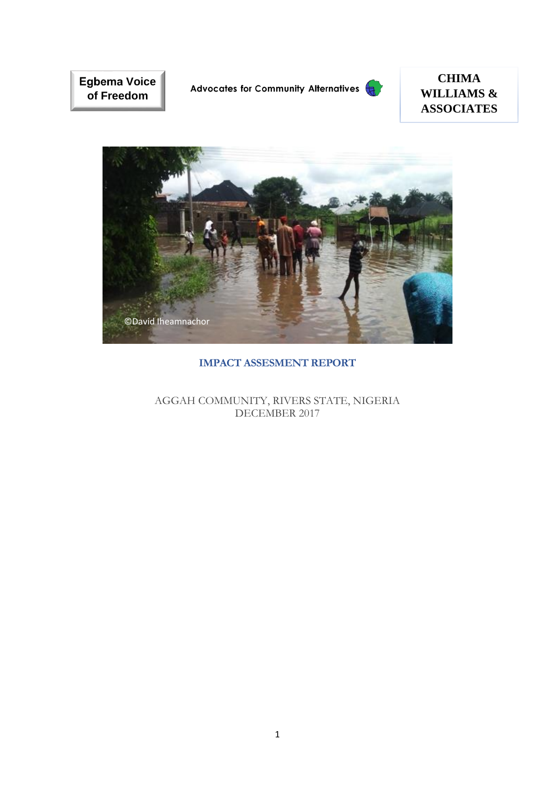**Egbema Voice of Freedom**

Advocates for Community Alternatives



# **CHIMA WILLIAMS & ASSOCIATES**



## **IMPACT ASSESMENT REPORT**

AGGAH COMMUNITY, RIVERS STATE, NIGERIA DECEMBER 2017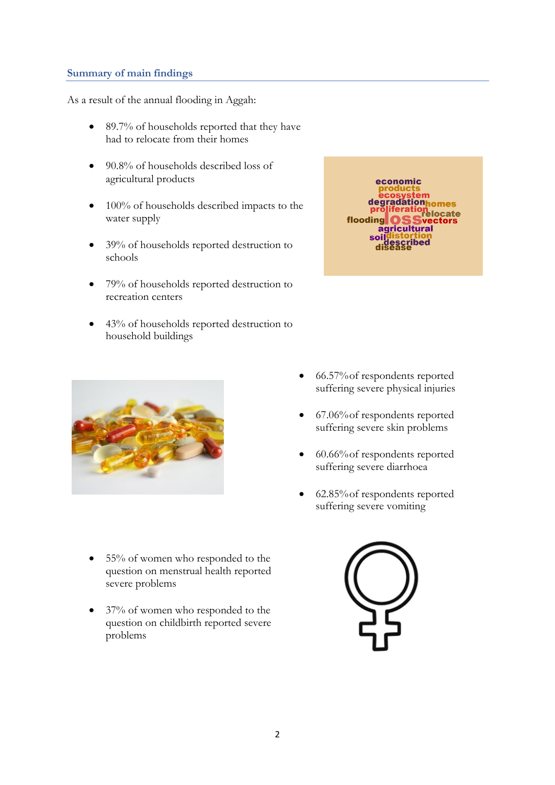### <span id="page-1-0"></span>**Summary of main findings**

As a result of the annual flooding in Aggah:

- 89.7% of households reported that they have had to relocate from their homes
- 90.8% of households described loss of agricultural products
- 100% of households described impacts to the water supply
- 39% of households reported destruction to schools
- 79% of households reported destruction to recreation centers
- 43% of households reported destruction to household buildings





- 55% of women who responded to the question on menstrual health reported severe problems
- 37% of women who responded to the question on childbirth reported severe problems
- 66.57% of respondents reported suffering severe physical injuries
- 67.06% of respondents reported suffering severe skin problems
- 60.66% of respondents reported suffering severe diarrhoea
- 62.85% of respondents reported suffering severe vomiting

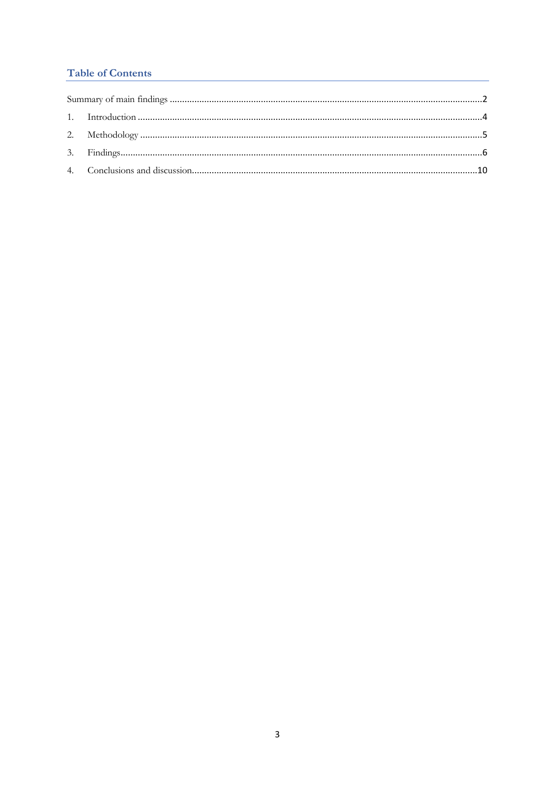## **Table of Contents**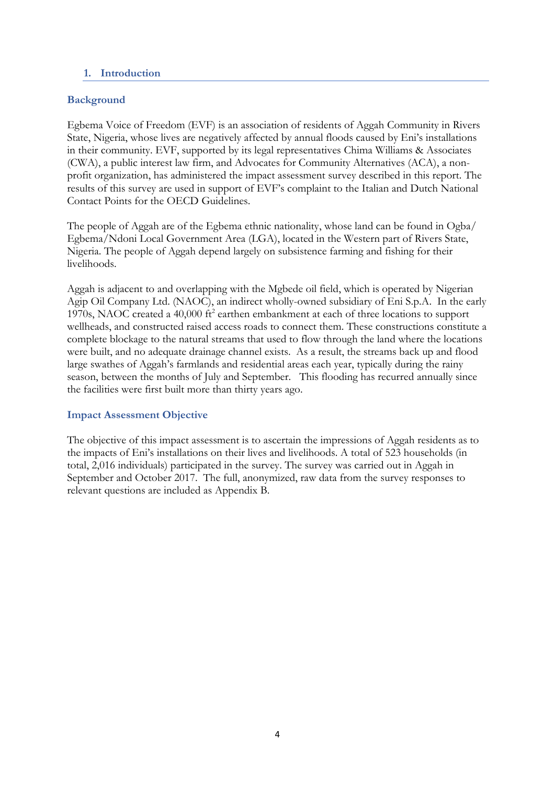#### <span id="page-3-0"></span>**1. Introduction**

## **Background**

Egbema Voice of Freedom (EVF) is an association of residents of Aggah Community in Rivers State, Nigeria, whose lives are negatively affected by annual floods caused by Eni's installations in their community. EVF, supported by its legal representatives Chima Williams & Associates (CWA), a public interest law firm, and Advocates for Community Alternatives (ACA), a nonprofit organization, has administered the impact assessment survey described in this report. The results of this survey are used in support of EVF's complaint to the Italian and Dutch National Contact Points for the OECD Guidelines.

The people of Aggah are of the Egbema ethnic nationality, whose land can be found in Ogba/ Egbema/Ndoni Local Government Area (LGA), located in the Western part of Rivers State, Nigeria. The people of Aggah depend largely on subsistence farming and fishing for their livelihoods.

Aggah is adjacent to and overlapping with the Mgbede oil field, which is operated by Nigerian Agip Oil Company Ltd. (NAOC), an indirect wholly-owned subsidiary of Eni S.p.A. In the early 1970s, NAOC created a 40,000 ft<sup>2</sup> earthen embankment at each of three locations to support wellheads, and constructed raised access roads to connect them. These constructions constitute a complete blockage to the natural streams that used to flow through the land where the locations were built, and no adequate drainage channel exists. As a result, the streams back up and flood large swathes of Aggah's farmlands and residential areas each year, typically during the rainy season, between the months of July and September. This flooding has recurred annually since the facilities were first built more than thirty years ago.

#### **Impact Assessment Objective**

The objective of this impact assessment is to ascertain the impressions of Aggah residents as to the impacts of Eni's installations on their lives and livelihoods. A total of 523 households (in total, 2,016 individuals) participated in the survey. The survey was carried out in Aggah in September and October 2017. The full, anonymized, raw data from the survey responses to relevant questions are included as Appendix B.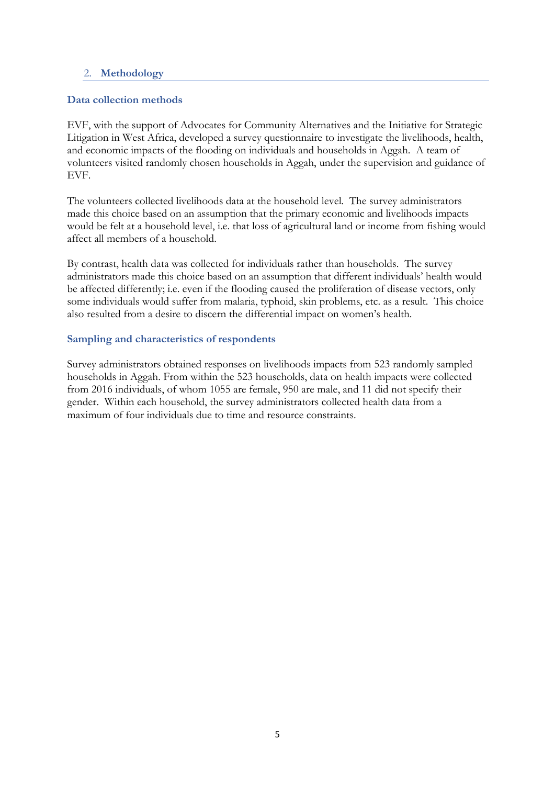### <span id="page-4-0"></span>2. **Methodology**

## **Data collection methods**

EVF, with the support of Advocates for Community Alternatives and the Initiative for Strategic Litigation in West Africa, developed a survey questionnaire to investigate the livelihoods, health, and economic impacts of the flooding on individuals and households in Aggah. A team of volunteers visited randomly chosen households in Aggah, under the supervision and guidance of EVF.

The volunteers collected livelihoods data at the household level. The survey administrators made this choice based on an assumption that the primary economic and livelihoods impacts would be felt at a household level, i.e. that loss of agricultural land or income from fishing would affect all members of a household.

By contrast, health data was collected for individuals rather than households. The survey administrators made this choice based on an assumption that different individuals' health would be affected differently; i.e. even if the flooding caused the proliferation of disease vectors, only some individuals would suffer from malaria, typhoid, skin problems, etc. as a result. This choice also resulted from a desire to discern the differential impact on women's health.

#### **Sampling and characteristics of respondents**

Survey administrators obtained responses on livelihoods impacts from 523 randomly sampled households in Aggah. From within the 523 households, data on health impacts were collected from 2016 individuals, of whom 1055 are female, 950 are male, and 11 did not specify their gender. Within each household, the survey administrators collected health data from a maximum of four individuals due to time and resource constraints.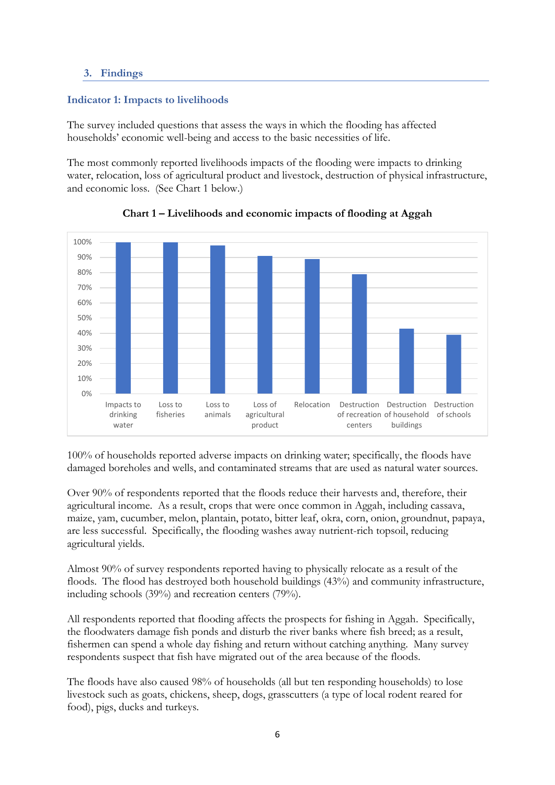## <span id="page-5-0"></span>**3. Findings**

## **Indicator 1: Impacts to livelihoods**

The survey included questions that assess the ways in which the flooding has affected households' economic well-being and access to the basic necessities of life.

The most commonly reported livelihoods impacts of the flooding were impacts to drinking water, relocation, loss of agricultural product and livestock, destruction of physical infrastructure, and economic loss. (See Chart 1 below.)



**Chart 1 – Livelihoods and economic impacts of flooding at Aggah**

100% of households reported adverse impacts on drinking water; specifically, the floods have damaged boreholes and wells, and contaminated streams that are used as natural water sources.

Over 90% of respondents reported that the floods reduce their harvests and, therefore, their agricultural income. As a result, crops that were once common in Aggah, including cassava, maize, yam, cucumber, melon, plantain, potato, bitter leaf, okra, corn, onion, groundnut, papaya, are less successful. Specifically, the flooding washes away nutrient-rich topsoil, reducing agricultural yields.

Almost 90% of survey respondents reported having to physically relocate as a result of the floods. The flood has destroyed both household buildings (43%) and community infrastructure, including schools (39%) and recreation centers (79%).

All respondents reported that flooding affects the prospects for fishing in Aggah. Specifically, the floodwaters damage fish ponds and disturb the river banks where fish breed; as a result, fishermen can spend a whole day fishing and return without catching anything. Many survey respondents suspect that fish have migrated out of the area because of the floods.

The floods have also caused 98% of households (all but ten responding households) to lose livestock such as goats, chickens, sheep, dogs, grasscutters (a type of local rodent reared for food), pigs, ducks and turkeys.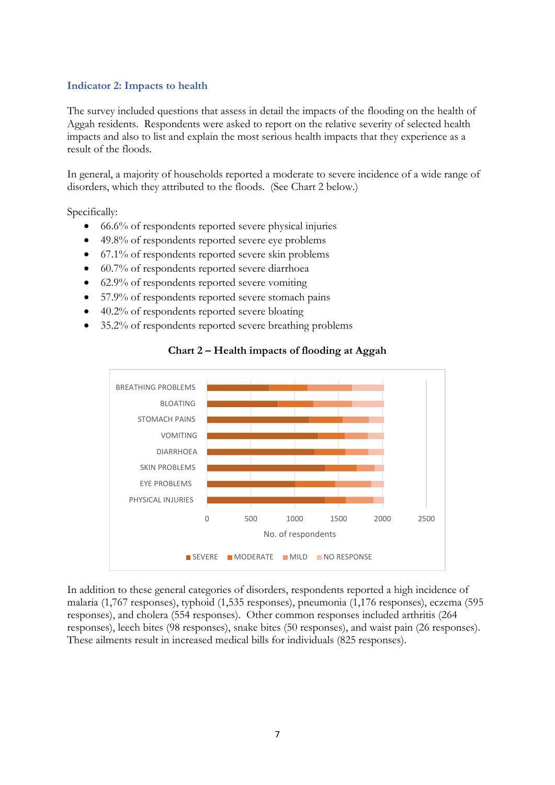#### **Indicator 2: Impacts to health**

The survey included questions that assess in detail the impacts of the flooding on the health of Aggah residents. Respondents were asked to report on the relative severity of selected health impacts and also to list and explain the most serious health impacts that they experience as a result of the floods.

In general, a majority of households reported a moderate to severe incidence of a wide range of disorders, which they attributed to the floods. (See Chart 2 below.)

Specifically:

- 66.6% of respondents reported severe physical injuries
- 49.8% of respondents reported severe eye problems
- 67.1% of respondents reported severe skin problems
- 60.7% of respondents reported severe diarrhoea
- 62.9% of respondents reported severe vomiting
- 57.9% of respondents reported severe stomach pains
- 40.2% of respondents reported severe bloating
- 35.2% of respondents reported severe breathing problems



#### **Chart 2 – Health impacts of flooding at Aggah**

In addition to these general categories of disorders, respondents reported a high incidence of malaria (1,767 responses), typhoid (1,535 responses), pneumonia (1,176 responses), eczema (595 responses), and cholera (554 responses). Other common responses included arthritis (264 responses), leech bites (98 responses), snake bites (50 responses), and waist pain (26 responses). These ailments result in increased medical bills for individuals (825 responses).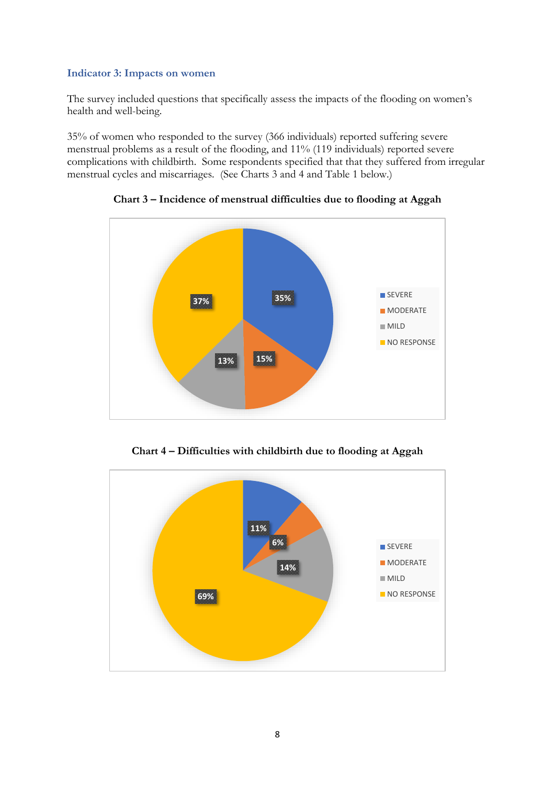## **Indicator 3: Impacts on women**

The survey included questions that specifically assess the impacts of the flooding on women's health and well-being.

35% of women who responded to the survey (366 individuals) reported suffering severe menstrual problems as a result of the flooding, and 11% (119 individuals) reported severe complications with childbirth. Some respondents specified that that they suffered from irregular menstrual cycles and miscarriages. (See Charts 3 and 4 and Table 1 below.)



**Chart 3 – Incidence of menstrual difficulties due to flooding at Aggah**

**Chart 4 – Difficulties with childbirth due to flooding at Aggah**

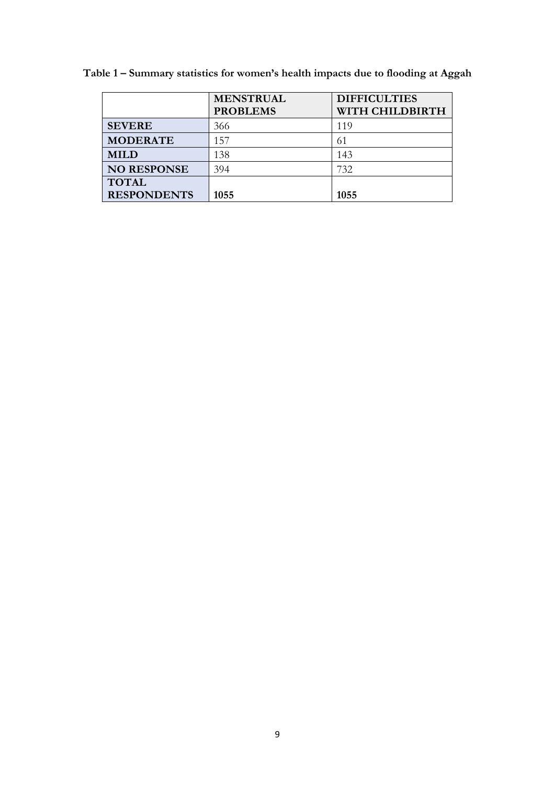|                    | <b>MENSTRUAL</b><br><b>PROBLEMS</b> | <b>DIFFICULTIES</b><br>WITH CHILDBIRTH |
|--------------------|-------------------------------------|----------------------------------------|
| <b>SEVERE</b>      | 366                                 | 119                                    |
| <b>MODERATE</b>    | 157                                 | 61                                     |
| <b>MILD</b>        | 138                                 | 143                                    |
| <b>NO RESPONSE</b> | 394                                 | 732                                    |
| <b>TOTAL</b>       |                                     |                                        |
| <b>RESPONDENTS</b> | 1055                                | 1055                                   |

**Table 1 – Summary statistics for women's health impacts due to flooding at Aggah**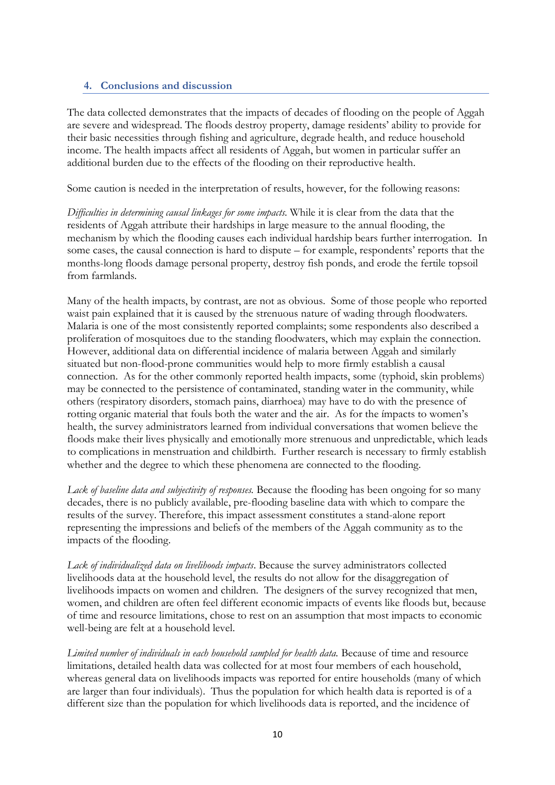#### <span id="page-9-0"></span>**4. Conclusions and discussion**

The data collected demonstrates that the impacts of decades of flooding on the people of Aggah are severe and widespread. The floods destroy property, damage residents' ability to provide for their basic necessities through fishing and agriculture, degrade health, and reduce household income. The health impacts affect all residents of Aggah, but women in particular suffer an additional burden due to the effects of the flooding on their reproductive health.

Some caution is needed in the interpretation of results, however, for the following reasons:

*Difficulties in determining causal linkages for some impacts.* While it is clear from the data that the residents of Aggah attribute their hardships in large measure to the annual flooding, the mechanism by which the flooding causes each individual hardship bears further interrogation. In some cases, the causal connection is hard to dispute – for example, respondents' reports that the months-long floods damage personal property, destroy fish ponds, and erode the fertile topsoil from farmlands.

Many of the health impacts, by contrast, are not as obvious. Some of those people who reported waist pain explained that it is caused by the strenuous nature of wading through floodwaters. Malaria is one of the most consistently reported complaints; some respondents also described a proliferation of mosquitoes due to the standing floodwaters, which may explain the connection. However, additional data on differential incidence of malaria between Aggah and similarly situated but non-flood-prone communities would help to more firmly establish a causal connection. As for the other commonly reported health impacts, some (typhoid, skin problems) may be connected to the persistence of contaminated, standing water in the community, while others (respiratory disorders, stomach pains, diarrhoea) may have to do with the presence of rotting organic material that fouls both the water and the air. As for the ímpacts to women's health, the survey administrators learned from individual conversations that women believe the floods make their lives physically and emotionally more strenuous and unpredictable, which leads to complications in menstruation and childbirth. Further research is necessary to firmly establish whether and the degree to which these phenomena are connected to the flooding.

*Lack of baseline data and subjectivity of responses.* Because the flooding has been ongoing for so many decades, there is no publicly available, pre-flooding baseline data with which to compare the results of the survey. Therefore, this impact assessment constitutes a stand-alone report representing the impressions and beliefs of the members of the Aggah community as to the impacts of the flooding.

*Lack of individualized data on livelihoods impacts*. Because the survey administrators collected livelihoods data at the household level, the results do not allow for the disaggregation of livelihoods impacts on women and children. The designers of the survey recognized that men, women, and children are often feel different economic impacts of events like floods but, because of time and resource limitations, chose to rest on an assumption that most impacts to economic well-being are felt at a household level.

Limited number of individuals in each household sampled for health data. Because of time and resource limitations, detailed health data was collected for at most four members of each household, whereas general data on livelihoods impacts was reported for entire households (many of which are larger than four individuals). Thus the population for which health data is reported is of a different size than the population for which livelihoods data is reported, and the incidence of